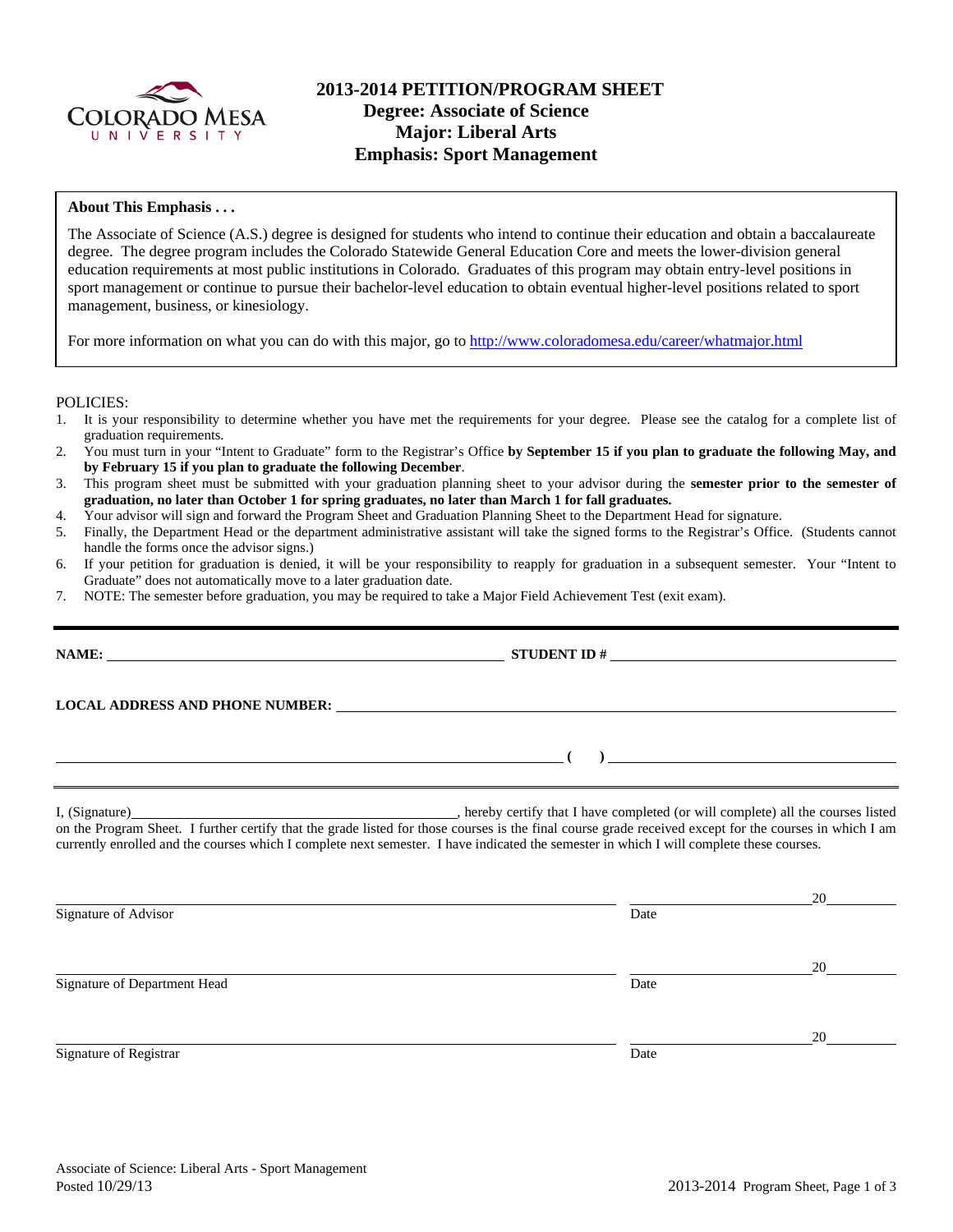

## **2013-2014 PETITION/PROGRAM SHEET Degree: Associate of Science Major: Liberal Arts Emphasis: Sport Management**

### **About This Emphasis . . .**

The Associate of Science (A.S.) degree is designed for students who intend to continue their education and obtain a baccalaureate degree. The degree program includes the Colorado Statewide General Education Core and meets the lower-division general education requirements at most public institutions in Colorado. Graduates of this program may obtain entry-level positions in sport management or continue to pursue their bachelor-level education to obtain eventual higher-level positions related to sport management, business, or kinesiology.

For more information on what you can do with this major, go to http://www.coloradomesa.edu/career/whatmajor.html

POLICIES:

- 1. It is your responsibility to determine whether you have met the requirements for your degree. Please see the catalog for a complete list of graduation requirements.
- 2. You must turn in your "Intent to Graduate" form to the Registrar's Office **by September 15 if you plan to graduate the following May, and by February 15 if you plan to graduate the following December**.
- 3. This program sheet must be submitted with your graduation planning sheet to your advisor during the **semester prior to the semester of graduation, no later than October 1 for spring graduates, no later than March 1 for fall graduates.**
- 4. Your advisor will sign and forward the Program Sheet and Graduation Planning Sheet to the Department Head for signature.
- 5. Finally, the Department Head or the department administrative assistant will take the signed forms to the Registrar's Office. (Students cannot handle the forms once the advisor signs.)
- 6. If your petition for graduation is denied, it will be your responsibility to reapply for graduation in a subsequent semester. Your "Intent to Graduate" does not automatically move to a later graduation date.
- 7. NOTE: The semester before graduation, you may be required to take a Major Field Achievement Test (exit exam).

| $\begin{array}{c} \hline \end{array}$                                                                                                                                                                                                                                                                                                                                                                                                                                                                                                                                                                                                                                                |
|--------------------------------------------------------------------------------------------------------------------------------------------------------------------------------------------------------------------------------------------------------------------------------------------------------------------------------------------------------------------------------------------------------------------------------------------------------------------------------------------------------------------------------------------------------------------------------------------------------------------------------------------------------------------------------------|
|                                                                                                                                                                                                                                                                                                                                                                                                                                                                                                                                                                                                                                                                                      |
|                                                                                                                                                                                                                                                                                                                                                                                                                                                                                                                                                                                                                                                                                      |
|                                                                                                                                                                                                                                                                                                                                                                                                                                                                                                                                                                                                                                                                                      |
| 20                                                                                                                                                                                                                                                                                                                                                                                                                                                                                                                                                                                                                                                                                   |
|                                                                                                                                                                                                                                                                                                                                                                                                                                                                                                                                                                                                                                                                                      |
| 20                                                                                                                                                                                                                                                                                                                                                                                                                                                                                                                                                                                                                                                                                   |
| LOCAL ADDRESS AND PHONE NUMBER: University of the contract of the contract of the contract of the contract of the contract of the contract of the contract of the contract of the contract of the contract of the contract of<br><u> 1989 - Johann Stein, marwolaethau a bhann an t-Amhair an t-Amhair an t-Amhair an t-Amhair an t-Amhair an t-A</u><br>on the Program Sheet. I further certify that the grade listed for those courses is the final course grade received except for the courses in which I am<br>currently enrolled and the courses which I complete next semester. I have indicated the semester in which I will complete these courses.<br>Date<br>Date<br>Date |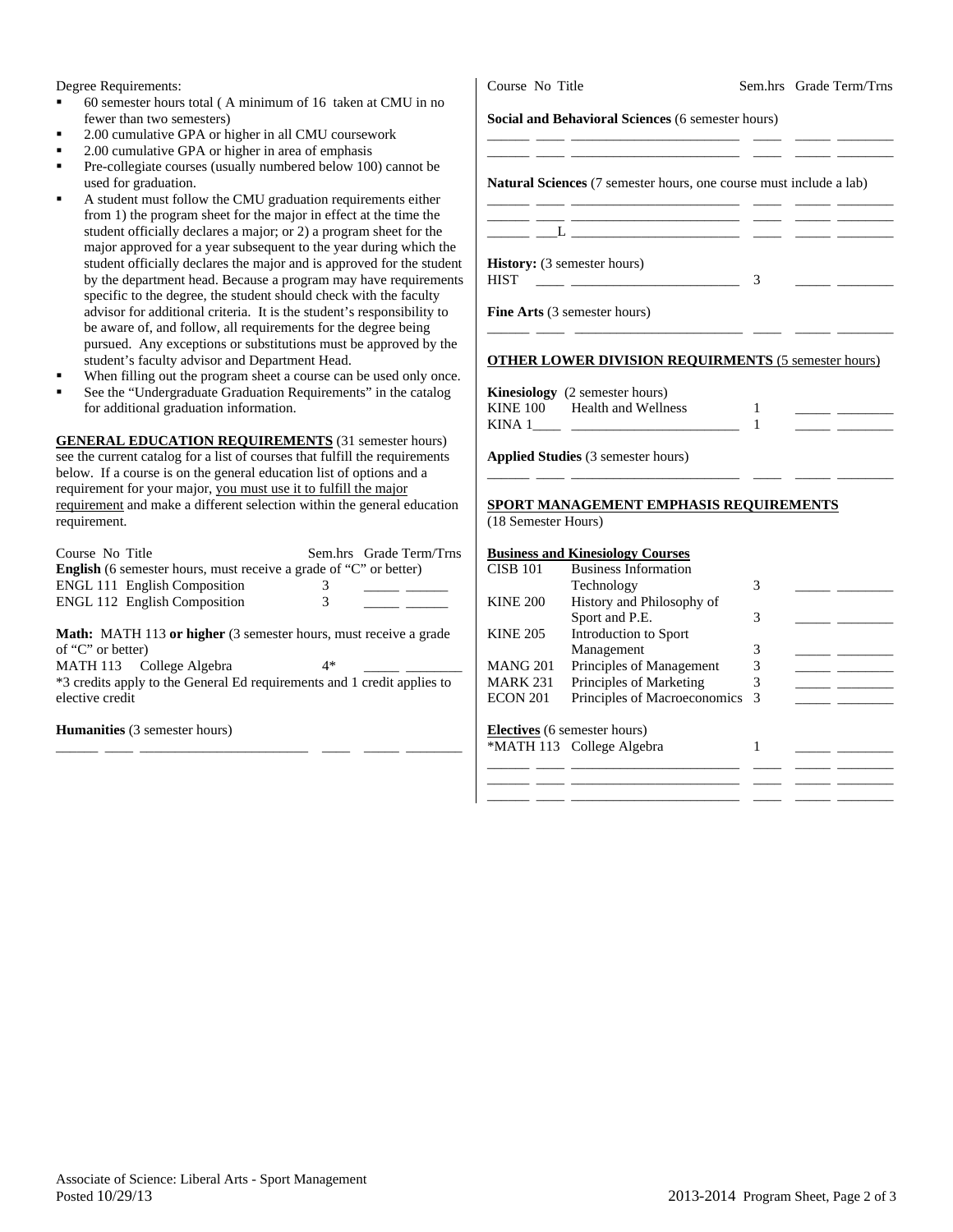Degree Requirements:

- $60$  semester hours total (A minimum of 16 taken at CMU in n fewer than two semesters)
- 2.00 cumulative GPA or higher in all CMU coursework
- 2.00 cumulative GPA or higher in area of emphasis
- Pre-collegiate courses (usually numbered below 100) cannot be used for graduation.
- A student must follow the CMU graduation requirements either from 1) the program sheet for the major in effect at the time the student officially declares a major; or 2) a program sheet for th major approved for a year subsequent to the year during which student officially declares the major and is approved for the stu by the department head. Because a program may have requirent specific to the degree, the student should check with the faculty advisor for additional criteria. It is the student's responsibility be aware of, and follow, all requirements for the degree being pursued. Any exceptions or substitutions must be approved by student's faculty advisor and Department Head.
- When filling out the program sheet a course can be used only o
- See the "Undergraduate Graduation Requirements" in the catal for additional graduation information.

**GENERAL EDUCATION REQUIREMENTS** (31 semester hours) see the current catalog for a list of courses that fulfill the requirements below. If a course is on the general education list of options and a requirement for your major, you must use it to fulfill the major requirement and make a different selection within the general education requirement.

| Course No Title                                                          |               | Sem.hrs Grade Term/Trns |  |  |
|--------------------------------------------------------------------------|---------------|-------------------------|--|--|
| <b>English</b> (6 semester hours, must receive a grade of "C" or better) |               |                         |  |  |
| <b>ENGL 111 English Composition</b>                                      | $\mathcal{L}$ |                         |  |  |
| <b>ENGL 112 English Composition</b>                                      | 3             |                         |  |  |
|                                                                          |               |                         |  |  |

**Math:** MATH 113 **or higher** (3 semester hours, must receive a grade of "C" or better)

MATH 113 College Algebra  $4*$ \*3 credits apply to the General Ed requirements and 1 credit applies to elective credit

\_\_\_\_\_\_ \_\_\_\_ \_\_\_\_\_\_\_\_\_\_\_\_\_\_\_\_\_\_\_\_\_\_\_\_ \_\_\_\_ \_\_\_\_\_ \_\_\_\_\_\_\_\_

**Humanities** (3 semester hours)

| <b>Natural Sciences</b> (7 semester hours, one course must include a lab) |               |
|---------------------------------------------------------------------------|---------------|
| the control of the control of the control of the control of               |               |
| <b>History:</b> (3 semester hours)<br>HIST                                | $\mathcal{R}$ |
| <b>Fine Arts</b> (3 semester hours)                                       |               |
| <b>OTHER LOWER DIVISION REQUIRMENTS (5 semester hours)</b>                |               |
| <b>Kinesiology</b> (2 semester hours)                                     |               |
| KINE 100 Health and Wellness                                              |               |

**Applied Studies** (3 semester hours)

#### **SPORT MANAGEMENT EMPHASIS REQUIREMENTS** (18 Semester Hours)

\_\_\_\_\_\_ \_\_\_\_ \_\_\_\_\_\_\_\_\_\_\_\_\_\_\_\_\_\_\_\_\_\_\_\_ \_\_\_\_ \_\_\_\_\_ \_\_\_\_\_\_\_\_

|                 | <b>Business and Kinesiology Courses</b> |    |  |
|-----------------|-----------------------------------------|----|--|
| <b>CISB 101</b> | <b>Business Information</b>             |    |  |
|                 | Technology                              | 3  |  |
| <b>KINE 200</b> | History and Philosophy of               |    |  |
|                 | Sport and P.E.                          | 3  |  |
| <b>KINE 205</b> | Introduction to Sport                   |    |  |
|                 | Management                              | 3  |  |
| <b>MANG 201</b> | Principles of Management                |    |  |
| <b>MARK 231</b> | Principles of Marketing                 |    |  |
| <b>ECON 201</b> | Principles of Macroeconomics            | -3 |  |
|                 | <b>Electives</b> (6 semester hours)     |    |  |
|                 | *MATH 113 College Algebra               |    |  |
|                 |                                         |    |  |
|                 |                                         |    |  |
|                 |                                         |    |  |

Course No Title Sem.hrs Grade Term/Trns